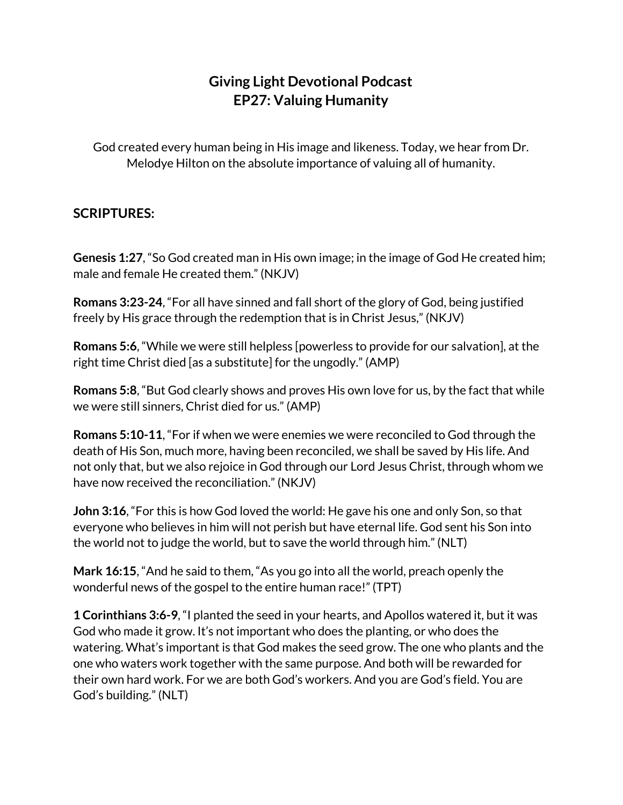## **Giving Light Devotional Podcast EP27: Valuing Humanity**

God created every human being in His image and likeness. Today, we hear from Dr. Melodye Hilton on the absolute importance of valuing all of humanity.

## **SCRIPTURES:**

**Genesis 1:27**, "So God created man in His own image; in the image of God He created him; male and female He created them." (NKJV)

**Romans 3:23-24**, "For all have sinned and fall short of the glory of God, being justified freely by His grace through the redemption that is in Christ Jesus," (NKJV)

**Romans 5:6**, "While we were still helpless [powerless to provide for our salvation], at the right time Christ died [as a substitute] for the ungodly." (AMP)

**Romans 5:8**, "But God clearly shows and proves His own love for us, by the fact that while we were still sinners, Christ died for us." (AMP)

**Romans 5:10-11**, "For if when we were enemies we were reconciled to God through the death of His Son, much more, having been reconciled, we shall be saved by His life. And not only that, but we also rejoice in God through our Lord Jesus Christ, through whom we have now received the reconciliation." (NKJV)

**John 3:16**, "For this is how God loved the world: He gave his one and only Son, so that everyone who believes in him will not perish but have eternal life. God sent his Son into the world not to judge the world, but to save the world through him." (NLT)

**Mark 16:15**, "And he said to them, "As you go into all the world, preach openly the wonderful news of the gospel to the entire human race!" (TPT)

**1 Corinthians 3:6-9**, "I planted the seed in your hearts, and Apollos watered it, but it was God who made it grow. It's not important who does the planting, or who does the watering. What's important is that God makes the seed grow. The one who plants and the one who waters work together with the same purpose. And both will be rewarded for their own hard work. For we are both God's workers. And you are God's field. You are God's building." (NLT)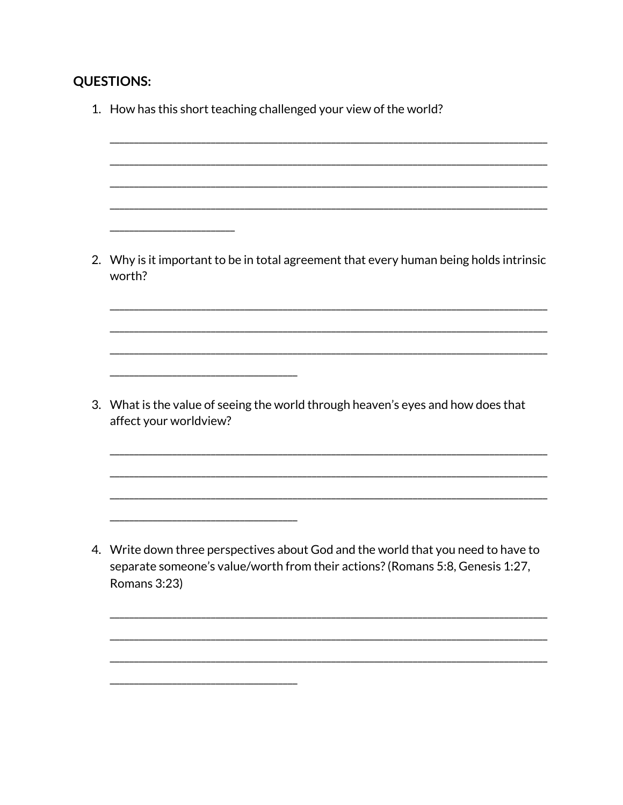## **QUESTIONS:**

| 1. How has this short teaching challenged your view of the world?                                                                                                                  |
|------------------------------------------------------------------------------------------------------------------------------------------------------------------------------------|
| 2. Why is it important to be in total agreement that every human being holds intrinsic<br>worth?                                                                                   |
| 3. What is the value of seeing the world through heaven's eyes and how does that<br>affect your worldview?                                                                         |
| 4. Write down three perspectives about God and the world that you need to have to<br>separate someone's value/worth from their actions? (Romans 5:8, Genesis 1:27,<br>Romans 3:23) |

L.